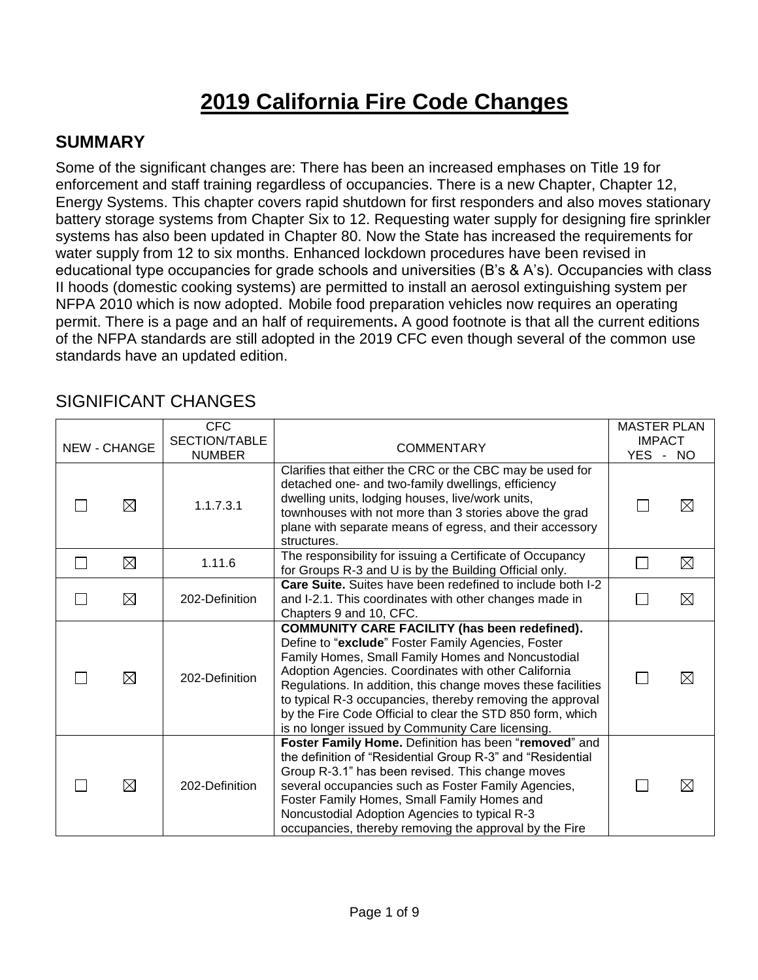# **2019 California Fire Code Changes**

#### **SUMMARY**

Some of the significant changes are: There has been an increased emphases on Title 19 for enforcement and staff training regardless of occupancies. There is a new Chapter, Chapter 12, Energy Systems. This chapter covers rapid shutdown for first responders and also moves stationary battery storage systems from Chapter Six to 12. Requesting water supply for designing fire sprinkler systems has also been updated in Chapter 80. Now the State has increased the requirements for water supply from 12 to six months. Enhanced lockdown procedures have been revised in educational type occupancies for grade schools and universities (B's & A's). Occupancies with class II hoods (domestic cooking systems) are permitted to install an aerosol extinguishing system per NFPA 2010 which is now adopted. Mobile food preparation vehicles now requires an operating permit. There is a page and an half of requirements**.** A good footnote is that all the current editions of the NFPA standards are still adopted in the 2019 CFC even though several of the common use standards have an updated edition.

| NEW - CHANGE | <b>CFC</b><br>SECTION/TABLE<br><b>NUMBER</b> | <b>COMMENTARY</b>                                                                                                                                                                                                                                                                                                                                                                                                                                                      | <b>MASTER PLAN</b><br><b>IMPACT</b><br><b>YES</b><br>$\sim$ | <b>NO</b>   |
|--------------|----------------------------------------------|------------------------------------------------------------------------------------------------------------------------------------------------------------------------------------------------------------------------------------------------------------------------------------------------------------------------------------------------------------------------------------------------------------------------------------------------------------------------|-------------------------------------------------------------|-------------|
| ⊠            | 1.1.7.3.1                                    | Clarifies that either the CRC or the CBC may be used for<br>detached one- and two-family dwellings, efficiency<br>dwelling units, lodging houses, live/work units,<br>townhouses with not more than 3 stories above the grad<br>plane with separate means of egress, and their accessory<br>structures.                                                                                                                                                                |                                                             | ⊠           |
| $\boxtimes$  | 1.11.6                                       | The responsibility for issuing a Certificate of Occupancy<br>for Groups R-3 and U is by the Building Official only.                                                                                                                                                                                                                                                                                                                                                    |                                                             | $\boxtimes$ |
| $\boxtimes$  | 202-Definition                               | <b>Care Suite.</b> Suites have been redefined to include both I-2<br>and I-2.1. This coordinates with other changes made in<br>Chapters 9 and 10, CFC.                                                                                                                                                                                                                                                                                                                 |                                                             | $\boxtimes$ |
| $\boxtimes$  | 202-Definition                               | <b>COMMUNITY CARE FACILITY (has been redefined).</b><br>Define to "exclude" Foster Family Agencies, Foster<br>Family Homes, Small Family Homes and Noncustodial<br>Adoption Agencies. Coordinates with other California<br>Regulations. In addition, this change moves these facilities<br>to typical R-3 occupancies, thereby removing the approval<br>by the Fire Code Official to clear the STD 850 form, which<br>is no longer issued by Community Care licensing. |                                                             | ⊠           |
| $\boxtimes$  | 202-Definition                               | Foster Family Home. Definition has been "removed" and<br>the definition of "Residential Group R-3" and "Residential<br>Group R-3.1" has been revised. This change moves<br>several occupancies such as Foster Family Agencies,<br>Foster Family Homes, Small Family Homes and<br>Noncustodial Adoption Agencies to typical R-3<br>occupancies, thereby removing the approval by the Fire                                                                               |                                                             | ⊠           |

#### SIGNIFICANT CHANGES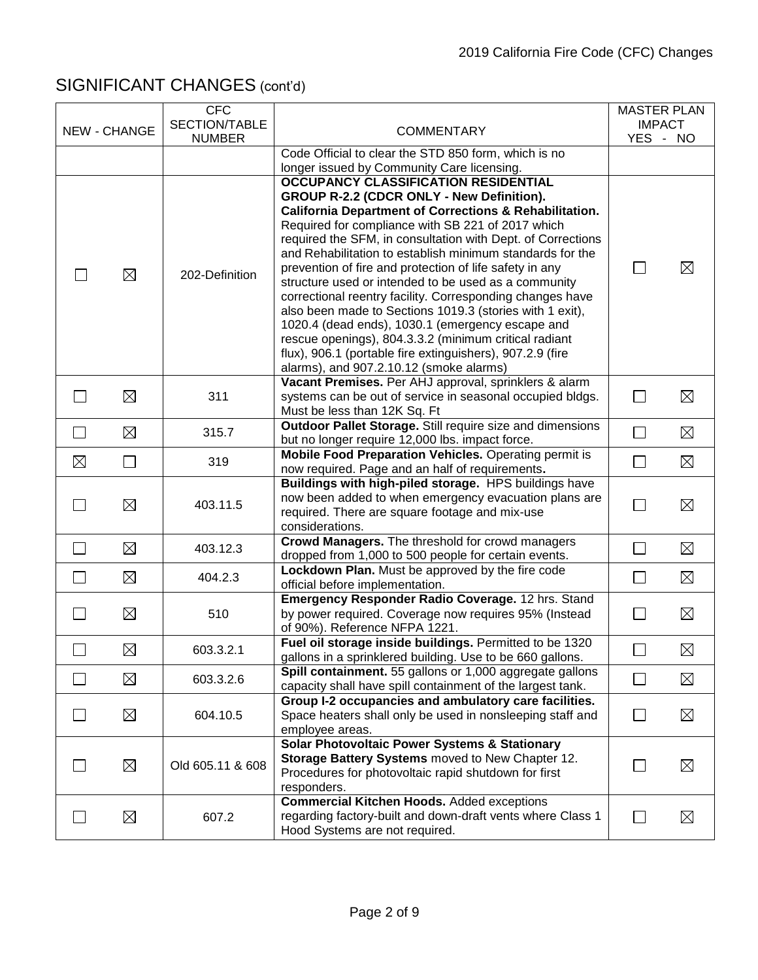|                          |              | <b>CFC</b>                     |                                                                                                                          | <b>MASTER PLAN</b>        |             |
|--------------------------|--------------|--------------------------------|--------------------------------------------------------------------------------------------------------------------------|---------------------------|-------------|
|                          | NEW - CHANGE | SECTION/TABLE<br><b>NUMBER</b> | <b>COMMENTARY</b>                                                                                                        | <b>IMPACT</b><br>YES - NO |             |
|                          |              |                                | Code Official to clear the STD 850 form, which is no                                                                     |                           |             |
|                          |              |                                | longer issued by Community Care licensing.                                                                               |                           |             |
|                          |              |                                | OCCUPANCY CLASSIFICATION RESIDENTIAL                                                                                     |                           |             |
|                          |              |                                | GROUP R-2.2 (CDCR ONLY - New Definition).                                                                                |                           |             |
|                          |              |                                | <b>California Department of Corrections &amp; Rehabilitation.</b>                                                        |                           |             |
|                          |              |                                | Required for compliance with SB 221 of 2017 which                                                                        |                           |             |
|                          |              |                                | required the SFM, in consultation with Dept. of Corrections<br>and Rehabilitation to establish minimum standards for the |                           |             |
|                          |              |                                | prevention of fire and protection of life safety in any                                                                  | $\mathbf{L}$              | $\boxtimes$ |
|                          | $\boxtimes$  | 202-Definition                 | structure used or intended to be used as a community                                                                     |                           |             |
|                          |              |                                | correctional reentry facility. Corresponding changes have                                                                |                           |             |
|                          |              |                                | also been made to Sections 1019.3 (stories with 1 exit),                                                                 |                           |             |
|                          |              |                                | 1020.4 (dead ends), 1030.1 (emergency escape and                                                                         |                           |             |
|                          |              |                                | rescue openings), 804.3.3.2 (minimum critical radiant                                                                    |                           |             |
|                          |              |                                | flux), 906.1 (portable fire extinguishers), 907.2.9 (fire<br>alarms), and 907.2.10.12 (smoke alarms)                     |                           |             |
|                          |              |                                | Vacant Premises. Per AHJ approval, sprinklers & alarm                                                                    |                           |             |
|                          | ⊠            | 311                            | systems can be out of service in seasonal occupied bldgs.                                                                | $\Box$                    | $\boxtimes$ |
|                          |              |                                | Must be less than 12K Sq. Ft                                                                                             |                           |             |
| $\Box$                   | ⊠            | 315.7                          | Outdoor Pallet Storage. Still require size and dimensions                                                                | $\Box$                    | $\boxtimes$ |
|                          |              |                                | but no longer require 12,000 lbs. impact force.                                                                          |                           |             |
| $\boxtimes$              | $\Box$       | 319                            | Mobile Food Preparation Vehicles. Operating permit is<br>now required. Page and an half of requirements.                 | $\Box$                    | $\boxtimes$ |
|                          |              |                                | Buildings with high-piled storage. HPS buildings have                                                                    |                           |             |
|                          |              |                                | now been added to when emergency evacuation plans are                                                                    |                           |             |
|                          | $\boxtimes$  | 403.11.5                       | required. There are square footage and mix-use                                                                           | $\mathbf{L}$              | $\boxtimes$ |
|                          |              |                                | considerations.                                                                                                          |                           |             |
| $\overline{\phantom{a}}$ | ⊠            | 403.12.3                       | Crowd Managers. The threshold for crowd managers                                                                         | $\Box$                    | $\boxtimes$ |
|                          |              |                                | dropped from 1,000 to 500 people for certain events.<br>Lockdown Plan. Must be approved by the fire code                 |                           |             |
| $\overline{\phantom{a}}$ | ⊠            | 404.2.3                        | official before implementation.                                                                                          | $\Box$                    | $\boxtimes$ |
|                          |              |                                | Emergency Responder Radio Coverage. 12 hrs. Stand                                                                        |                           |             |
|                          | $\boxtimes$  | 510                            | by power required. Coverage now requires 95% (Instead                                                                    | $\mathbf{L}$              | $\boxtimes$ |
|                          |              |                                | of 90%). Reference NFPA 1221.                                                                                            |                           |             |
|                          | $\boxtimes$  | 603.3.2.1                      | Fuel oil storage inside buildings. Permitted to be 1320                                                                  |                           | $\boxtimes$ |
|                          |              |                                | gallons in a sprinklered building. Use to be 660 gallons.<br>Spill containment. 55 gallons or 1,000 aggregate gallons    |                           |             |
|                          | $\boxtimes$  | 603.3.2.6                      | capacity shall have spill containment of the largest tank.                                                               | $\Box$                    | $\boxtimes$ |
|                          |              |                                | Group I-2 occupancies and ambulatory care facilities.                                                                    |                           |             |
|                          | ⊠            | 604.10.5                       | Space heaters shall only be used in nonsleeping staff and                                                                | $\Box$                    | $\boxtimes$ |
|                          |              |                                | employee areas.                                                                                                          |                           |             |
|                          |              |                                | <b>Solar Photovoltaic Power Systems &amp; Stationary</b>                                                                 |                           |             |
|                          | ⊠            | Old 605.11 & 608               | Storage Battery Systems moved to New Chapter 12.                                                                         |                           | $\boxtimes$ |
|                          |              |                                | Procedures for photovoltaic rapid shutdown for first<br>responders.                                                      |                           |             |
|                          |              |                                | <b>Commercial Kitchen Hoods. Added exceptions</b>                                                                        |                           |             |
|                          | $\boxtimes$  | 607.2                          | regarding factory-built and down-draft vents where Class 1                                                               |                           | $\boxtimes$ |
|                          |              |                                | Hood Systems are not required.                                                                                           |                           |             |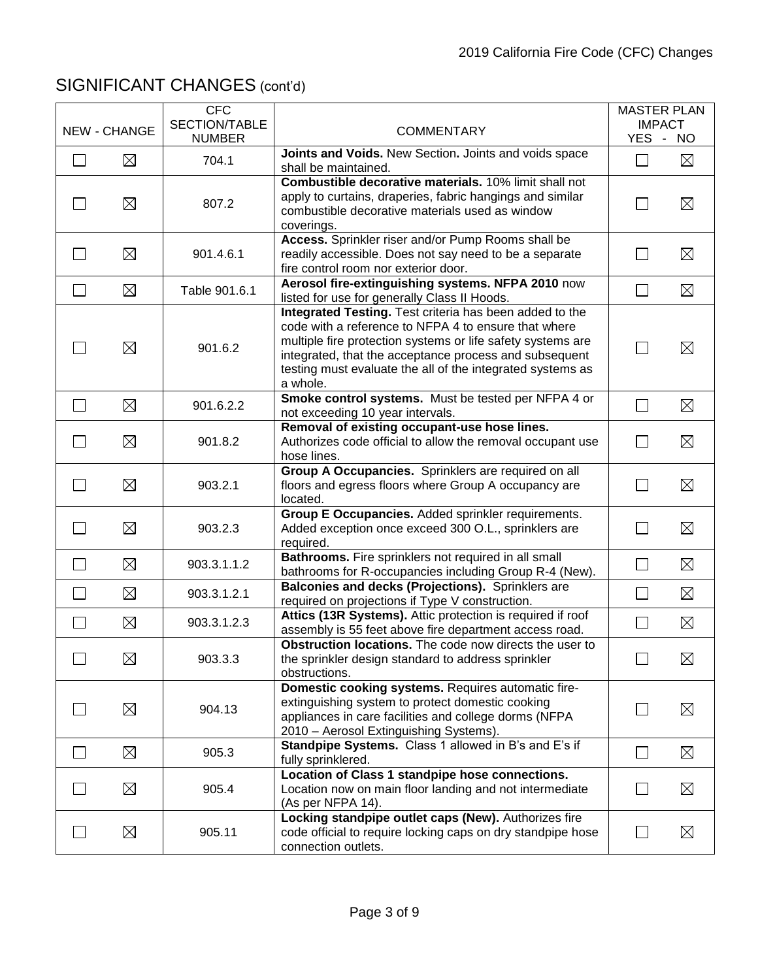|                |                     | <b>CFC</b><br>SECTION/TABLE |                                                                                                                                                                                                                                                                                                                    | <b>MASTER PLAN</b><br><b>IMPACT</b> |             |
|----------------|---------------------|-----------------------------|--------------------------------------------------------------------------------------------------------------------------------------------------------------------------------------------------------------------------------------------------------------------------------------------------------------------|-------------------------------------|-------------|
|                | <b>NEW - CHANGE</b> | <b>NUMBER</b>               | <b>COMMENTARY</b>                                                                                                                                                                                                                                                                                                  | YES - NO                            |             |
| $\Box$         | $\boxtimes$         | 704.1                       | Joints and Voids. New Section. Joints and voids space<br>shall be maintained.                                                                                                                                                                                                                                      |                                     | $\boxtimes$ |
|                | $\boxtimes$         | 807.2                       | Combustible decorative materials. 10% limit shall not<br>apply to curtains, draperies, fabric hangings and similar<br>combustible decorative materials used as window<br>coverings.                                                                                                                                |                                     | $\boxtimes$ |
| $\Box$         | $\boxtimes$         | 901.4.6.1                   | Access. Sprinkler riser and/or Pump Rooms shall be<br>readily accessible. Does not say need to be a separate<br>fire control room nor exterior door.                                                                                                                                                               | $\mathsf{L}$                        | $\boxtimes$ |
| $\Box$         | $\boxtimes$         | Table 901.6.1               | Aerosol fire-extinguishing systems. NFPA 2010 now<br>listed for use for generally Class II Hoods.                                                                                                                                                                                                                  |                                     | $\boxtimes$ |
|                | ⊠                   | 901.6.2                     | Integrated Testing. Test criteria has been added to the<br>code with a reference to NFPA 4 to ensure that where<br>multiple fire protection systems or life safety systems are<br>integrated, that the acceptance process and subsequent<br>testing must evaluate the all of the integrated systems as<br>a whole. |                                     | $\boxtimes$ |
| $\Box$         | ⊠                   | 901.6.2.2                   | Smoke control systems. Must be tested per NFPA 4 or<br>not exceeding 10 year intervals.                                                                                                                                                                                                                            |                                     | $\boxtimes$ |
|                | $\boxtimes$         | 901.8.2                     | Removal of existing occupant-use hose lines.<br>Authorizes code official to allow the removal occupant use<br>hose lines.                                                                                                                                                                                          | $\mathbf{L}$                        | $\boxtimes$ |
| $\mathsf{L}$   | $\boxtimes$         | 903.2.1                     | Group A Occupancies. Sprinklers are required on all<br>floors and egress floors where Group A occupancy are<br>located.                                                                                                                                                                                            | $\perp$                             | $\boxtimes$ |
| П              | $\boxtimes$         | 903.2.3                     | Group E Occupancies. Added sprinkler requirements.<br>Added exception once exceed 300 O.L., sprinklers are<br>required.                                                                                                                                                                                            | $\vert \ \ \vert$                   | $\boxtimes$ |
| $\mathbb{R}^n$ | $\boxtimes$         | 903.3.1.1.2                 | Bathrooms. Fire sprinklers not required in all small<br>bathrooms for R-occupancies including Group R-4 (New).                                                                                                                                                                                                     | $\Box$                              | $\boxtimes$ |
| $\mathbf{L}$   | $\boxtimes$         | 903.3.1.2.1                 | Balconies and decks (Projections). Sprinklers are<br>required on projections if Type V construction.                                                                                                                                                                                                               | $\vert \ \ \vert$                   | $\boxtimes$ |
| $\Box$         | $\boxtimes$         | 903.3.1.2.3                 | Attics (13R Systems). Attic protection is required if roof<br>assembly is 55 feet above fire department access road.                                                                                                                                                                                               | $\Box$                              | $\boxtimes$ |
| ┌─┐            | $\boxtimes$         | 903.3.3                     | Obstruction locations. The code now directs the user to<br>the sprinkler design standard to address sprinkler<br>obstructions.                                                                                                                                                                                     | ┌─┐                                 | $\boxtimes$ |
|                | $\boxtimes$         | 904.13                      | Domestic cooking systems. Requires automatic fire-<br>extinguishing system to protect domestic cooking<br>appliances in care facilities and college dorms (NFPA<br>2010 - Aerosol Extinguishing Systems).                                                                                                          |                                     | $\boxtimes$ |
| $\Box$         | ⊠                   | 905.3                       | Standpipe Systems. Class 1 allowed in B's and E's if<br>fully sprinklered.                                                                                                                                                                                                                                         | $\perp$                             | $\boxtimes$ |
| $\Box$         | $\boxtimes$         | 905.4                       | Location of Class 1 standpipe hose connections.<br>Location now on main floor landing and not intermediate<br>(As per NFPA 14).                                                                                                                                                                                    |                                     | $\boxtimes$ |
|                | $\boxtimes$         | 905.11                      | Locking standpipe outlet caps (New). Authorizes fire<br>code official to require locking caps on dry standpipe hose<br>connection outlets.                                                                                                                                                                         |                                     | $\boxtimes$ |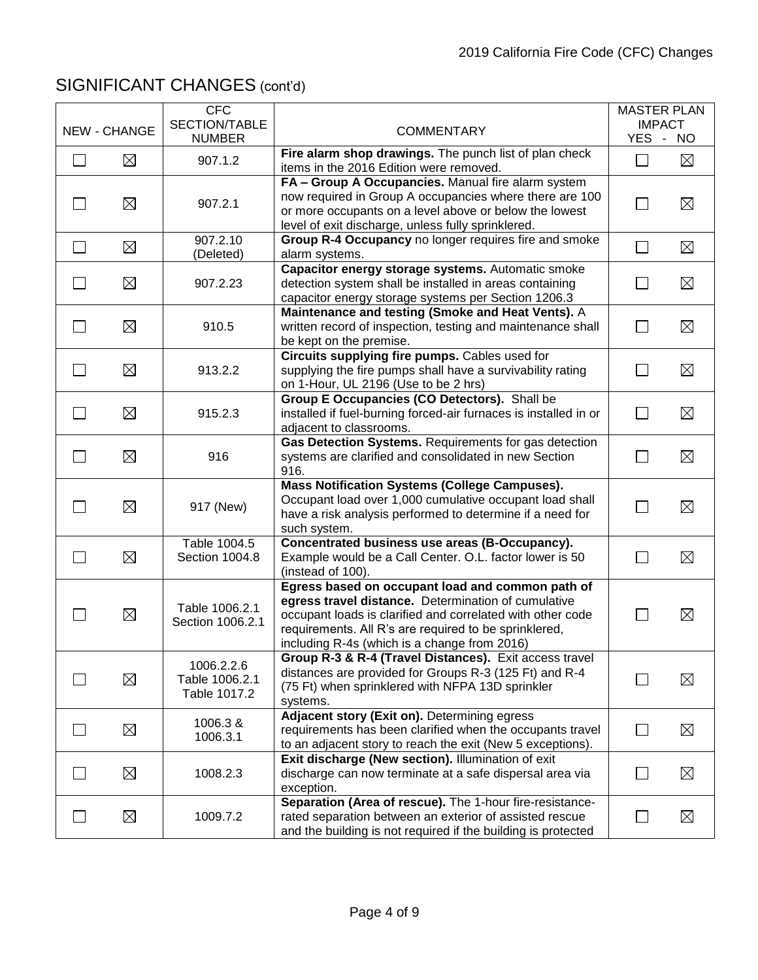|                          | <b>NEW - CHANGE</b> | <b>CFC</b><br>SECTION/TABLE                  |                                                                                                                                                                                                                                                                                |                   | <b>MASTER PLAN</b><br><b>IMPACT</b> |
|--------------------------|---------------------|----------------------------------------------|--------------------------------------------------------------------------------------------------------------------------------------------------------------------------------------------------------------------------------------------------------------------------------|-------------------|-------------------------------------|
|                          |                     | <b>NUMBER</b>                                | <b>COMMENTARY</b>                                                                                                                                                                                                                                                              |                   | YES - NO                            |
| $\Box$                   | $\boxtimes$         | 907.1.2                                      | Fire alarm shop drawings. The punch list of plan check<br>items in the 2016 Edition were removed.                                                                                                                                                                              | $\Box$            | $\boxtimes$                         |
| $\mathsf{L}$             | $\boxtimes$         | 907.2.1                                      | FA - Group A Occupancies. Manual fire alarm system<br>now required in Group A occupancies where there are 100<br>or more occupants on a level above or below the lowest<br>level of exit discharge, unless fully sprinklered.                                                  |                   | $\boxtimes$                         |
| $\Box$                   | $\boxtimes$         | 907.2.10<br>(Deleted)                        | Group R-4 Occupancy no longer requires fire and smoke<br>alarm systems.                                                                                                                                                                                                        | $\Box$            | $\boxtimes$                         |
| $\Box$                   | $\boxtimes$         | 907.2.23                                     | Capacitor energy storage systems. Automatic smoke<br>detection system shall be installed in areas containing<br>capacitor energy storage systems per Section 1206.3                                                                                                            | l - I             | $\boxtimes$                         |
| $\mathbf{L}$             | ⊠                   | 910.5                                        | Maintenance and testing (Smoke and Heat Vents). A<br>written record of inspection, testing and maintenance shall<br>be kept on the premise.                                                                                                                                    | $\mathbf{L}$      | $\boxtimes$                         |
| $\Box$                   | $\boxtimes$         | 913.2.2                                      | Circuits supplying fire pumps. Cables used for<br>supplying the fire pumps shall have a survivability rating<br>on 1-Hour, UL 2196 (Use to be 2 hrs)                                                                                                                           | $\vert \ \ \vert$ | $\boxtimes$                         |
| $\mathbf{L}$             | $\boxtimes$         | 915.2.3                                      | Group E Occupancies (CO Detectors). Shall be<br>installed if fuel-burning forced-air furnaces is installed in or<br>adjacent to classrooms.                                                                                                                                    | $\mathsf{L}$      | $\boxtimes$                         |
| $\mathbf{I}$             | $\boxtimes$         | 916                                          | Gas Detection Systems. Requirements for gas detection<br>systems are clarified and consolidated in new Section<br>916.                                                                                                                                                         | l - I             | $\boxtimes$                         |
| $\mathsf{L}$             | $\boxtimes$         | 917 (New)                                    | <b>Mass Notification Systems (College Campuses).</b><br>Occupant load over 1,000 cumulative occupant load shall<br>have a risk analysis performed to determine if a need for<br>such system.                                                                                   | $\mathsf{L}$      | $\boxtimes$                         |
| $\Box$                   | $\boxtimes$         | Table 1004.5<br>Section 1004.8               | Concentrated business use areas (B-Occupancy).<br>Example would be a Call Center. O.L. factor lower is 50<br>(instead of 100).                                                                                                                                                 |                   | $\boxtimes$                         |
|                          | $\boxtimes$         | Table 1006.2.1<br>Section 1006.2.1           | Egress based on occupant load and common path of<br>egress travel distance. Determination of cumulative<br>occupant loads is clarified and correlated with other code<br>requirements. All R's are required to be sprinklered,<br>including R-4s (which is a change from 2016) |                   | $\boxtimes$                         |
|                          | $\boxtimes$         | 1006.2.2.6<br>Table 1006.2.1<br>Table 1017.2 | Group R-3 & R-4 (Travel Distances). Exit access travel<br>distances are provided for Groups R-3 (125 Ft) and R-4<br>(75 Ft) when sprinklered with NFPA 13D sprinkler<br>systems.                                                                                               |                   | $\boxtimes$                         |
| $\overline{\phantom{a}}$ | $\boxtimes$         | 1006.3 &<br>1006.3.1                         | Adjacent story (Exit on). Determining egress<br>requirements has been clarified when the occupants travel<br>to an adjacent story to reach the exit (New 5 exceptions).                                                                                                        | $\Box$            | $\boxtimes$                         |
| $\Box$                   | $\boxtimes$         | 1008.2.3                                     | Exit discharge (New section). Illumination of exit<br>discharge can now terminate at a safe dispersal area via<br>exception.                                                                                                                                                   |                   | $\boxtimes$                         |
| $\mathsf{L}$             | $\boxtimes$         | 1009.7.2                                     | Separation (Area of rescue). The 1-hour fire-resistance-<br>rated separation between an exterior of assisted rescue<br>and the building is not required if the building is protected                                                                                           |                   | $\boxtimes$                         |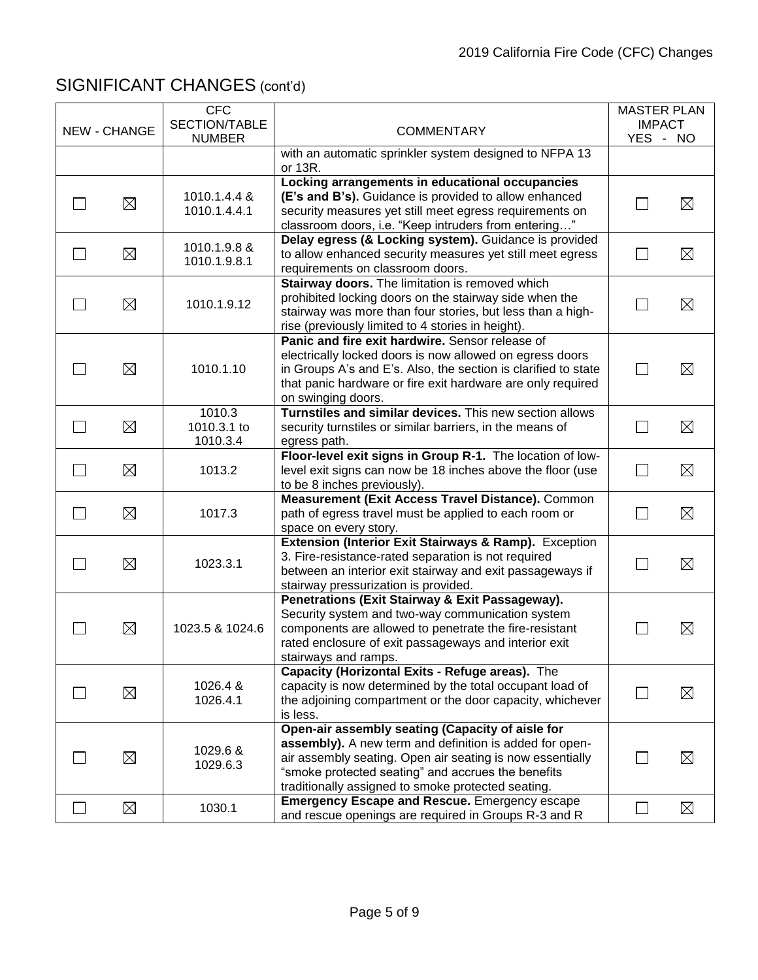|              | <b>NEW - CHANGE</b> | <b>CFC</b><br>SECTION/TABLE       | <b>COMMENTARY</b>                                                                                                                                                                                                                                                                    |                | <b>MASTER PLAN</b><br><b>IMPACT</b> |
|--------------|---------------------|-----------------------------------|--------------------------------------------------------------------------------------------------------------------------------------------------------------------------------------------------------------------------------------------------------------------------------------|----------------|-------------------------------------|
|              |                     | <b>NUMBER</b>                     | with an automatic sprinkler system designed to NFPA 13                                                                                                                                                                                                                               |                | YES - NO                            |
|              |                     |                                   | or 13R.                                                                                                                                                                                                                                                                              |                |                                     |
|              | $\boxtimes$         | 1010.1.4.4 &<br>1010.1.4.4.1      | Locking arrangements in educational occupancies<br>(E's and B's). Guidance is provided to allow enhanced<br>security measures yet still meet egress requirements on<br>classroom doors, i.e. "Keep intruders from entering"                                                          |                | $\boxtimes$                         |
|              | $\boxtimes$         | 1010.1.9.8 &<br>1010.1.9.8.1      | Delay egress (& Locking system). Guidance is provided<br>to allow enhanced security measures yet still meet egress<br>requirements on classroom doors.                                                                                                                               | $\mathbb{R}^n$ | $\boxtimes$                         |
|              | $\boxtimes$         | 1010.1.9.12                       | Stairway doors. The limitation is removed which<br>prohibited locking doors on the stairway side when the<br>stairway was more than four stories, but less than a high-<br>rise (previously limited to 4 stories in height).                                                         |                | $\boxtimes$                         |
|              | $\boxtimes$         | 1010.1.10                         | Panic and fire exit hardwire. Sensor release of<br>electrically locked doors is now allowed on egress doors<br>in Groups A's and E's. Also, the section is clarified to state<br>that panic hardware or fire exit hardware are only required<br>on swinging doors.                   | $\Box$         | $\boxtimes$                         |
|              | $\boxtimes$         | 1010.3<br>1010.3.1 to<br>1010.3.4 | Turnstiles and similar devices. This new section allows<br>security turnstiles or similar barriers, in the means of<br>egress path.                                                                                                                                                  |                | $\boxtimes$                         |
|              | ⊠                   | 1013.2                            | Floor-level exit signs in Group R-1. The location of low-<br>level exit signs can now be 18 inches above the floor (use<br>to be 8 inches previously).                                                                                                                               | П              | $\boxtimes$                         |
| $\mathbf{I}$ | $\boxtimes$         | 1017.3                            | Measurement (Exit Access Travel Distance). Common<br>path of egress travel must be applied to each room or<br>space on every story.                                                                                                                                                  | $\Box$         | $\boxtimes$                         |
|              | ⊠                   | 1023.3.1                          | Extension (Interior Exit Stairways & Ramp). Exception<br>3. Fire-resistance-rated separation is not required<br>between an interior exit stairway and exit passageways if<br>stairway pressurization is provided.                                                                    | $\sim$         | $\boxtimes$                         |
|              | $\boxtimes$         | 1023.5 & 1024.6                   | Penetrations (Exit Stairway & Exit Passageway).<br>Security system and two-way communication system<br>components are allowed to penetrate the fire-resistant<br>rated enclosure of exit passageways and interior exit<br>stairways and ramps.                                       |                | $\boxtimes$                         |
|              | $\boxtimes$         | 1026.4 &<br>1026.4.1              | Capacity (Horizontal Exits - Refuge areas). The<br>capacity is now determined by the total occupant load of<br>the adjoining compartment or the door capacity, whichever<br>is less.                                                                                                 |                | $\boxtimes$                         |
|              | $\boxtimes$         | 1029.6 &<br>1029.6.3              | Open-air assembly seating (Capacity of aisle for<br>assembly). A new term and definition is added for open-<br>air assembly seating. Open air seating is now essentially<br>"smoke protected seating" and accrues the benefits<br>traditionally assigned to smoke protected seating. |                | $\boxtimes$                         |
|              | ⊠                   | 1030.1                            | <b>Emergency Escape and Rescue.</b> Emergency escape<br>and rescue openings are required in Groups R-3 and R                                                                                                                                                                         | $\mathbf{L}$   | $\boxtimes$                         |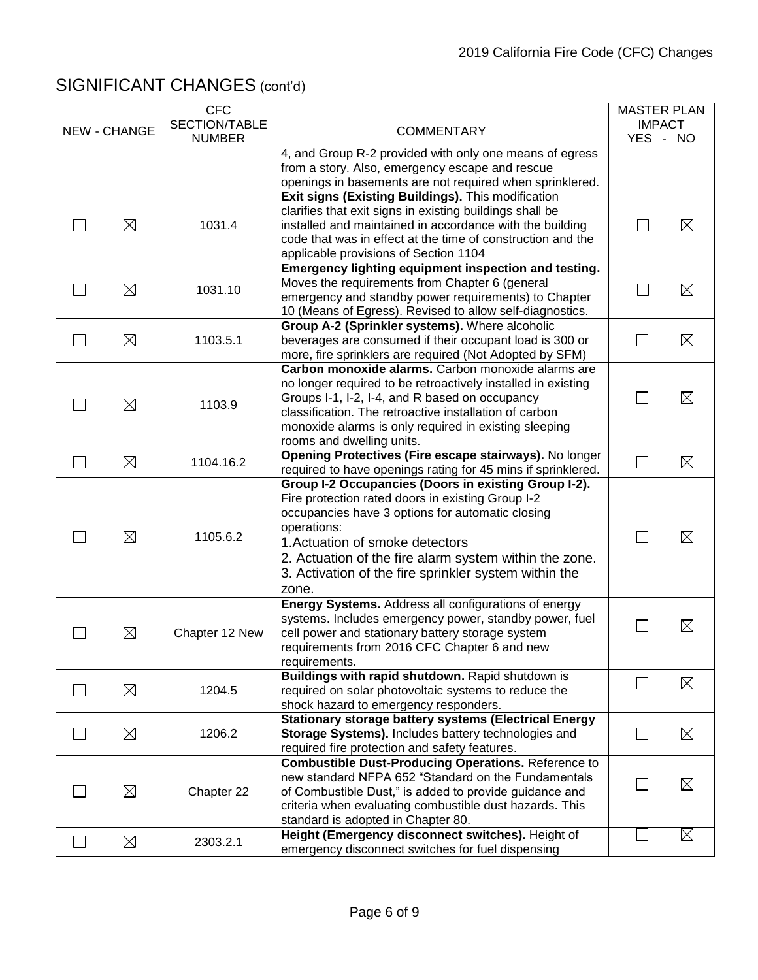|              |                     | <b>CFC</b><br>SECTION/TABLE |                                                                                                                                                                                                                                                                                                                                             | <b>MASTER PLAN</b><br><b>IMPACT</b> |             |
|--------------|---------------------|-----------------------------|---------------------------------------------------------------------------------------------------------------------------------------------------------------------------------------------------------------------------------------------------------------------------------------------------------------------------------------------|-------------------------------------|-------------|
|              | <b>NEW - CHANGE</b> | <b>NUMBER</b>               | <b>COMMENTARY</b>                                                                                                                                                                                                                                                                                                                           | YES - NO                            |             |
|              |                     |                             | 4, and Group R-2 provided with only one means of egress<br>from a story. Also, emergency escape and rescue<br>openings in basements are not required when sprinklered.                                                                                                                                                                      |                                     |             |
|              | $\boxtimes$         | 1031.4                      | Exit signs (Existing Buildings). This modification<br>clarifies that exit signs in existing buildings shall be<br>installed and maintained in accordance with the building<br>code that was in effect at the time of construction and the<br>applicable provisions of Section 1104                                                          | $\mathsf{L}$                        | $\boxtimes$ |
|              | $\boxtimes$         | 1031.10                     | Emergency lighting equipment inspection and testing.<br>Moves the requirements from Chapter 6 (general<br>emergency and standby power requirements) to Chapter<br>10 (Means of Egress). Revised to allow self-diagnostics.                                                                                                                  |                                     | $\boxtimes$ |
|              | $\boxtimes$         | 1103.5.1                    | Group A-2 (Sprinkler systems). Where alcoholic<br>beverages are consumed if their occupant load is 300 or<br>more, fire sprinklers are required (Not Adopted by SFM)                                                                                                                                                                        |                                     | $\boxtimes$ |
|              | $\boxtimes$         | 1103.9                      | Carbon monoxide alarms. Carbon monoxide alarms are<br>no longer required to be retroactively installed in existing<br>Groups I-1, I-2, I-4, and R based on occupancy<br>classification. The retroactive installation of carbon<br>monoxide alarms is only required in existing sleeping<br>rooms and dwelling units.                        |                                     | $\boxtimes$ |
| $\Box$       | $\boxtimes$         | 1104.16.2                   | Opening Protectives (Fire escape stairways). No longer<br>required to have openings rating for 45 mins if sprinklered.                                                                                                                                                                                                                      | a i                                 | $\boxtimes$ |
|              | $\boxtimes$         | 1105.6.2                    | Group I-2 Occupancies (Doors in existing Group I-2).<br>Fire protection rated doors in existing Group I-2<br>occupancies have 3 options for automatic closing<br>operations:<br>1. Actuation of smoke detectors<br>2. Actuation of the fire alarm system within the zone.<br>3. Activation of the fire sprinkler system within the<br>zone. |                                     | ⊠           |
|              | $\boxtimes$         | Chapter 12 New              | Energy Systems. Address all configurations of energy<br>systems. Includes emergency power, standby power, fuel<br>cell power and stationary battery storage system<br>requirements from 2016 CFC Chapter 6 and new<br>requirements.                                                                                                         |                                     | $\boxtimes$ |
|              | $\boxtimes$         | 1204.5                      | Buildings with rapid shutdown. Rapid shutdown is<br>required on solar photovoltaic systems to reduce the<br>shock hazard to emergency responders.                                                                                                                                                                                           |                                     | $\boxtimes$ |
|              | $\boxtimes$         | 1206.2                      | <b>Stationary storage battery systems (Electrical Energy</b><br>Storage Systems). Includes battery technologies and<br>required fire protection and safety features.                                                                                                                                                                        |                                     | $\boxtimes$ |
|              | $\boxtimes$         | Chapter 22                  | <b>Combustible Dust-Producing Operations. Reference to</b><br>new standard NFPA 652 "Standard on the Fundamentals<br>of Combustible Dust," is added to provide guidance and<br>criteria when evaluating combustible dust hazards. This<br>standard is adopted in Chapter 80.                                                                |                                     | ⊠           |
| $\mathbf{L}$ | $\boxtimes$         | 2303.2.1                    | Height (Emergency disconnect switches). Height of<br>emergency disconnect switches for fuel dispensing                                                                                                                                                                                                                                      |                                     | $\boxtimes$ |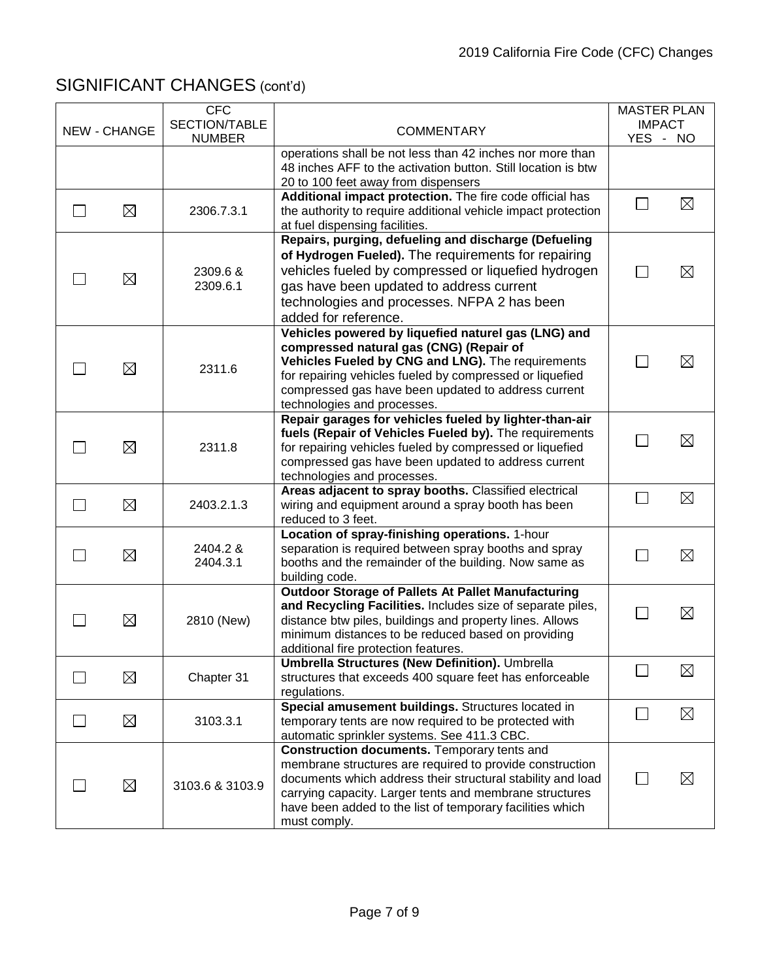| <b>NEW - CHANGE</b> | <b>CFC</b><br>SECTION/TABLE<br><b>NUMBER</b> | <b>COMMENTARY</b>                                                                                                                                                                                                                                                                                              | <b>MASTER PLAN</b><br><b>IMPACT</b><br>YES - NO |
|---------------------|----------------------------------------------|----------------------------------------------------------------------------------------------------------------------------------------------------------------------------------------------------------------------------------------------------------------------------------------------------------------|-------------------------------------------------|
|                     |                                              | operations shall be not less than 42 inches nor more than<br>48 inches AFF to the activation button. Still location is btw<br>20 to 100 feet away from dispensers                                                                                                                                              |                                                 |
| $\boxtimes$         | 2306.7.3.1                                   | Additional impact protection. The fire code official has<br>the authority to require additional vehicle impact protection<br>at fuel dispensing facilities.                                                                                                                                                    | $\boxtimes$                                     |
| $\boxtimes$         | 2309.6 &<br>2309.6.1                         | Repairs, purging, defueling and discharge (Defueling<br>of Hydrogen Fueled). The requirements for repairing<br>vehicles fueled by compressed or liquefied hydrogen<br>gas have been updated to address current<br>technologies and processes. NFPA 2 has been<br>added for reference.                          | $\boxtimes$                                     |
| $\boxtimes$         | 2311.6                                       | Vehicles powered by liquefied naturel gas (LNG) and<br>compressed natural gas (CNG) (Repair of<br>Vehicles Fueled by CNG and LNG). The requirements<br>for repairing vehicles fueled by compressed or liquefied<br>compressed gas have been updated to address current<br>technologies and processes.          | $\boxtimes$                                     |
| $\boxtimes$         | 2311.8                                       | Repair garages for vehicles fueled by lighter-than-air<br>fuels (Repair of Vehicles Fueled by). The requirements<br>for repairing vehicles fueled by compressed or liquefied<br>compressed gas have been updated to address current<br>technologies and processes.                                             | $\boxtimes$                                     |
| $\boxtimes$         | 2403.2.1.3                                   | Areas adjacent to spray booths. Classified electrical<br>wiring and equipment around a spray booth has been<br>reduced to 3 feet.                                                                                                                                                                              | $\boxtimes$                                     |
| ⊠                   | 2404.2 &<br>2404.3.1                         | Location of spray-finishing operations. 1-hour<br>separation is required between spray booths and spray<br>booths and the remainder of the building. Now same as<br>building code.                                                                                                                             | $\boxtimes$                                     |
| $\boxtimes$         | 2810 (New)                                   | <b>Outdoor Storage of Pallets At Pallet Manufacturing</b><br>and Recycling Facilities. Includes size of separate piles,<br>distance btw piles, buildings and property lines. Allows<br>minimum distances to be reduced based on providing<br>additional fire protection features.                              | $\boxtimes$                                     |
| ⊠                   | Chapter 31                                   | <b>Umbrella Structures (New Definition). Umbrella</b><br>structures that exceeds 400 square feet has enforceable<br>regulations.                                                                                                                                                                               | ⊠                                               |
| ⊠                   | 3103.3.1                                     | Special amusement buildings. Structures located in<br>temporary tents are now required to be protected with<br>automatic sprinkler systems. See 411.3 CBC.                                                                                                                                                     | $\boxtimes$                                     |
| $\boxtimes$         | 3103.6 & 3103.9                              | Construction documents. Temporary tents and<br>membrane structures are required to provide construction<br>documents which address their structural stability and load<br>carrying capacity. Larger tents and membrane structures<br>have been added to the list of temporary facilities which<br>must comply. | $\boxtimes$                                     |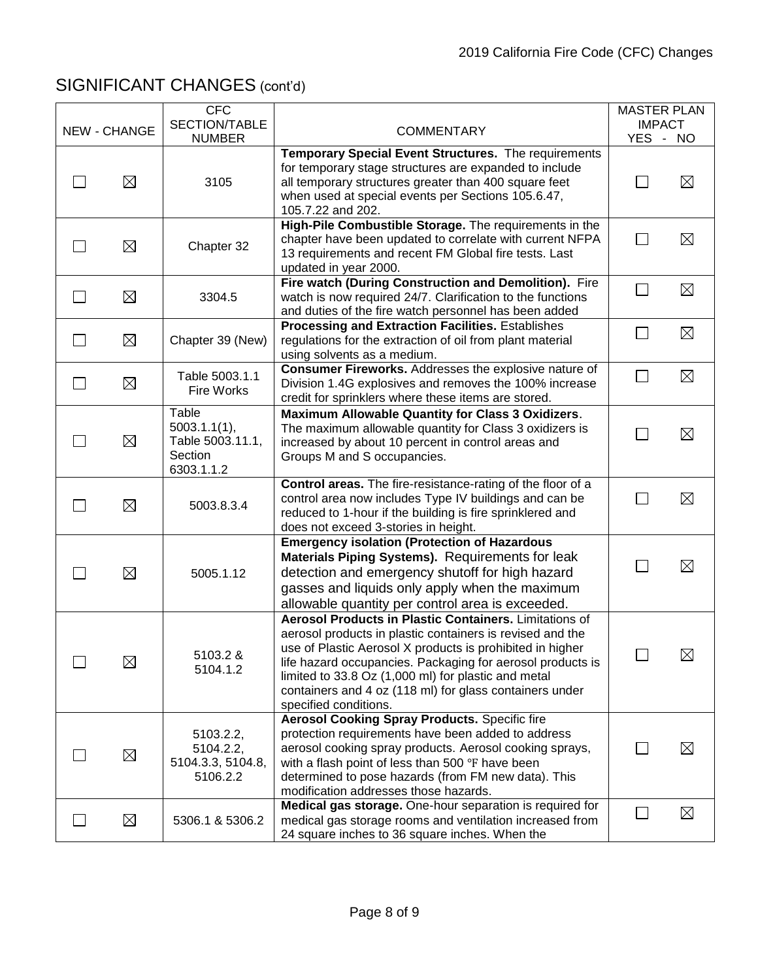|                     | <b>CFC</b>                                                         |                                                                                                                                                                                                                                                                                                                                                                                           | <b>MASTER PLAN</b>        |             |
|---------------------|--------------------------------------------------------------------|-------------------------------------------------------------------------------------------------------------------------------------------------------------------------------------------------------------------------------------------------------------------------------------------------------------------------------------------------------------------------------------------|---------------------------|-------------|
| <b>NEW - CHANGE</b> | SECTION/TABLE<br><b>NUMBER</b>                                     | <b>COMMENTARY</b>                                                                                                                                                                                                                                                                                                                                                                         | <b>IMPACT</b><br>YES - NO |             |
| $\boxtimes$         | 3105                                                               | Temporary Special Event Structures. The requirements<br>for temporary stage structures are expanded to include<br>all temporary structures greater than 400 square feet<br>when used at special events per Sections 105.6.47,                                                                                                                                                             |                           | $\boxtimes$ |
| $\boxtimes$         | Chapter 32                                                         | 105.7.22 and 202.<br>High-Pile Combustible Storage. The requirements in the<br>chapter have been updated to correlate with current NFPA<br>13 requirements and recent FM Global fire tests. Last<br>updated in year 2000.                                                                                                                                                                 | $\mathbf{L}$              | $\boxtimes$ |
| $\boxtimes$         | 3304.5                                                             | Fire watch (During Construction and Demolition). Fire<br>watch is now required 24/7. Clarification to the functions<br>and duties of the fire watch personnel has been added                                                                                                                                                                                                              | $\mathsf{L}$              | $\boxtimes$ |
| $\boxtimes$         | Chapter 39 (New)                                                   | Processing and Extraction Facilities. Establishes<br>regulations for the extraction of oil from plant material<br>using solvents as a medium.                                                                                                                                                                                                                                             | $\mathsf{L}$              | $\boxtimes$ |
| $\boxtimes$         | Table 5003.1.1<br>Fire Works                                       | Consumer Fireworks. Addresses the explosive nature of<br>Division 1.4G explosives and removes the 100% increase<br>credit for sprinklers where these items are stored.                                                                                                                                                                                                                    |                           | $\boxtimes$ |
| $\boxtimes$         | Table<br>5003.1.1(1),<br>Table 5003.11.1,<br>Section<br>6303.1.1.2 | Maximum Allowable Quantity for Class 3 Oxidizers.<br>The maximum allowable quantity for Class 3 oxidizers is<br>increased by about 10 percent in control areas and<br>Groups M and S occupancies.                                                                                                                                                                                         |                           | $\boxtimes$ |
| $\boxtimes$         | 5003.8.3.4                                                         | Control areas. The fire-resistance-rating of the floor of a<br>control area now includes Type IV buildings and can be<br>reduced to 1-hour if the building is fire sprinklered and<br>does not exceed 3-stories in height.                                                                                                                                                                |                           | $\boxtimes$ |
| $\boxtimes$         | 5005.1.12                                                          | <b>Emergency isolation (Protection of Hazardous</b><br>Materials Piping Systems). Requirements for leak<br>detection and emergency shutoff for high hazard<br>gasses and liquids only apply when the maximum<br>allowable quantity per control area is exceeded.                                                                                                                          |                           | $\boxtimes$ |
| $\boxtimes$         | 5103.2 &<br>5104.1.2                                               | Aerosol Products in Plastic Containers. Limitations of<br>aerosol products in plastic containers is revised and the<br>use of Plastic Aerosol X products is prohibited in higher<br>life hazard occupancies. Packaging for aerosol products is<br>limited to 33.8 Oz (1,000 ml) for plastic and metal<br>containers and 4 oz (118 ml) for glass containers under<br>specified conditions. |                           | ⊠           |
| ⊠                   | 5103.2.2,<br>5104.2.2,<br>5104.3.3, 5104.8,<br>5106.2.2            | <b>Aerosol Cooking Spray Products. Specific fire</b><br>protection requirements have been added to address<br>aerosol cooking spray products. Aerosol cooking sprays,<br>with a flash point of less than 500 °F have been<br>determined to pose hazards (from FM new data). This<br>modification addresses those hazards.                                                                 |                           | $\boxtimes$ |
| ⊠                   | 5306.1 & 5306.2                                                    | Medical gas storage. One-hour separation is required for<br>medical gas storage rooms and ventilation increased from<br>24 square inches to 36 square inches. When the                                                                                                                                                                                                                    |                           | $\boxtimes$ |